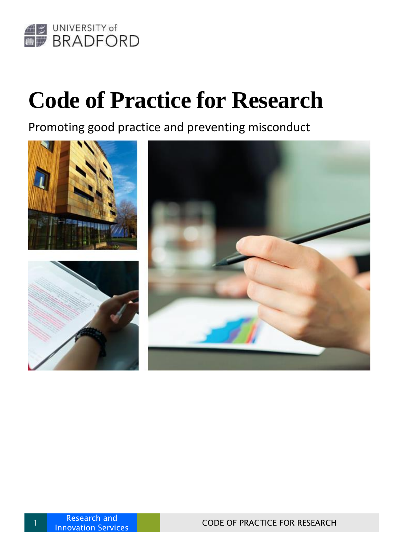

## **Code of Practice for Research**

Promoting good practice and preventing misconduct



1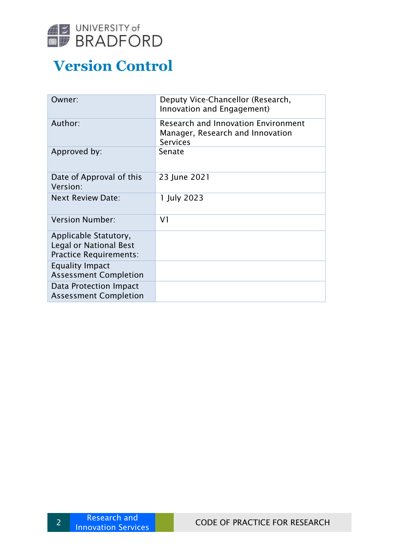

## **Version Control**

| Deputy Vice-Chancellor (Research,<br>Innovation and Engagement)                                   |
|---------------------------------------------------------------------------------------------------|
| <b>Research and Innovation Environment</b><br>Manager, Research and Innovation<br><b>Services</b> |
| Senate                                                                                            |
| 23 June 2021                                                                                      |
| 1 July 2023                                                                                       |
| V <sub>1</sub>                                                                                    |
|                                                                                                   |
|                                                                                                   |
|                                                                                                   |
|                                                                                                   |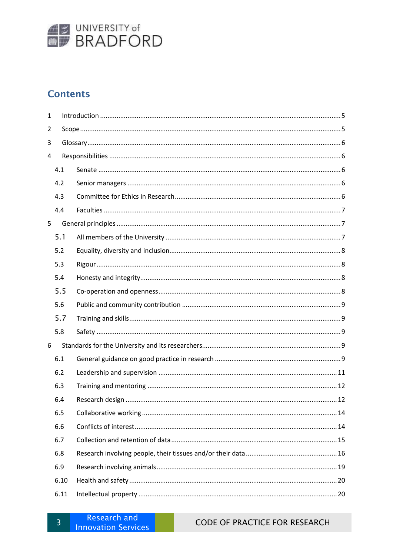

## **Contents**

| 1 |      |  |  |  |  |
|---|------|--|--|--|--|
| 2 |      |  |  |  |  |
| 3 |      |  |  |  |  |
| 4 |      |  |  |  |  |
|   | 4.1  |  |  |  |  |
|   | 4.2  |  |  |  |  |
|   | 4.3  |  |  |  |  |
|   | 4.4  |  |  |  |  |
| 5 |      |  |  |  |  |
|   | 5.1  |  |  |  |  |
|   | 5.2  |  |  |  |  |
|   | 5.3  |  |  |  |  |
|   | 5.4  |  |  |  |  |
|   | 5.5  |  |  |  |  |
|   | 5.6  |  |  |  |  |
|   | 5.7  |  |  |  |  |
|   | 5.8  |  |  |  |  |
| 6 |      |  |  |  |  |
|   | 6.1  |  |  |  |  |
|   | 6.2  |  |  |  |  |
|   | 6.3  |  |  |  |  |
|   | 6.4  |  |  |  |  |
|   | 6.5  |  |  |  |  |
|   | 6.6  |  |  |  |  |
|   | 6.7  |  |  |  |  |
|   | 6.8  |  |  |  |  |
|   | 6.9  |  |  |  |  |
|   | 6.10 |  |  |  |  |
|   | 6.11 |  |  |  |  |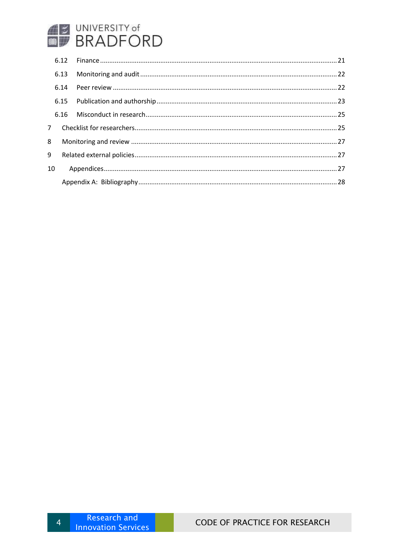# **BUNIVERSITY of**<br> **BRADFORD**

| 8  |  |  |  |
|----|--|--|--|
| 9  |  |  |  |
| 10 |  |  |  |
|    |  |  |  |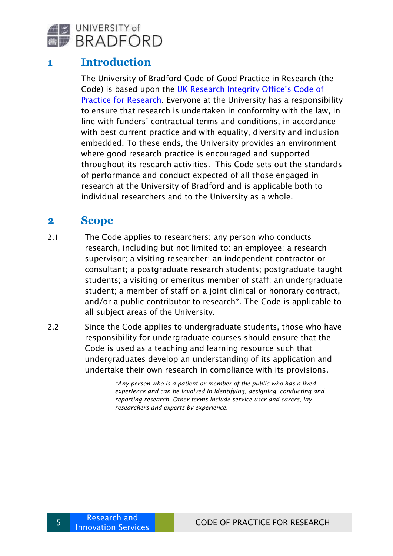

## <span id="page-4-0"></span>**1 Introduction**

The University of Bradford Code of Good Practice in Research (the Code) is based upon the [UK Research Integrity Office's Code of](http://ukrio.org/publications/code-of-practice-for-research/)  [Practice for Research.](http://ukrio.org/publications/code-of-practice-for-research/) Everyone at the University has a responsibility to ensure that research is undertaken in conformity with the law, in line with funders' contractual terms and conditions, in accordance with best current practice and with equality, diversity and inclusion embedded. To these ends, the University provides an environment where good research practice is encouraged and supported throughout its research activities. This Code sets out the standards of performance and conduct expected of all those engaged in research at the University of Bradford and is applicable both to individual researchers and to the University as a whole.

### <span id="page-4-1"></span>**2 Scope**

- 2.1 The Code applies to researchers: any person who conducts research, including but not limited to: an employee; a research supervisor; a visiting researcher; an independent contractor or consultant; a postgraduate research students; postgraduate taught students; a visiting or emeritus member of staff; an undergraduate student; a member of staff on a joint clinical or honorary contract, and/or a public contributor to research\*. The Code is applicable to all subject areas of the University.
- 2.2 Since the Code applies to undergraduate students, those who have responsibility for undergraduate courses should ensure that the Code is used as a teaching and learning resource such that undergraduates develop an understanding of its application and undertake their own research in compliance with its provisions.

*\*Any person who is a patient or member of the public who has a lived experience and can be involved in identifying, designing, conducting and reporting research. Other terms include service user and carers, lay researchers and experts by experience.*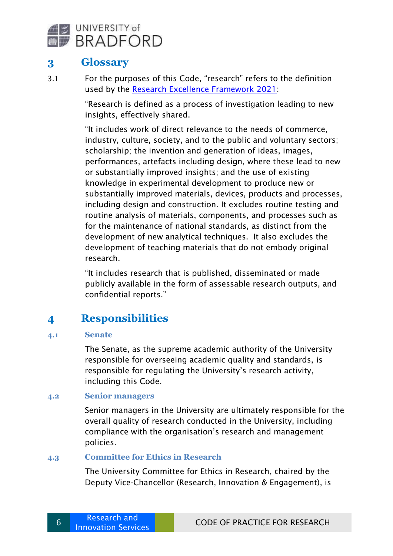

## <span id="page-5-0"></span>**3 Glossary**

3.1 For the purposes of this Code, "research" refers to the definition used by the [Research Excellence Framework 2021:](https://www.ref.ac.uk/)

> "Research is defined as a process of investigation leading to new insights, effectively shared.

"It includes work of direct relevance to the needs of commerce, industry, culture, society, and to the public and voluntary sectors; scholarship; the invention and generation of ideas, images, performances, artefacts including design, where these lead to new or substantially improved insights; and the use of existing knowledge in experimental development to produce new or substantially improved materials, devices, products and processes, including design and construction. It excludes routine testing and routine analysis of materials, components, and processes such as for the maintenance of national standards, as distinct from the development of new analytical techniques. It also excludes the development of teaching materials that do not embody original research.

"It includes research that is published, disseminated or made publicly available in the form of assessable research outputs, and confidential reports."

## <span id="page-5-1"></span>**4 Responsibilities**

#### <span id="page-5-2"></span>**4.1 Senate**

The Senate, as the supreme academic authority of the University responsible for overseeing academic quality and standards, is responsible for regulating the University's research activity, including this Code.

#### <span id="page-5-3"></span>**4.2 Senior managers**

Senior managers in the University are ultimately responsible for the overall quality of research conducted in the University, including compliance with the organisation's research and management policies.

#### <span id="page-5-4"></span>**4.3 Committee for Ethics in Research**

The University Committee for Ethics in Research, chaired by the Deputy Vice-Chancellor (Research, Innovation & Engagement), is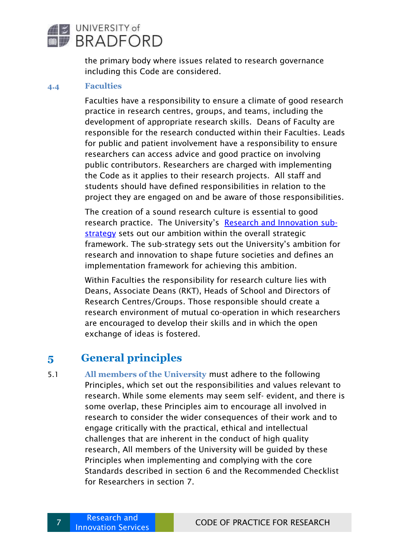

the primary body where issues related to research governance including this Code are considered.

#### <span id="page-6-0"></span>**4.4 Faculties**

Faculties have a responsibility to ensure a climate of good research practice in research centres, groups, and teams, including the development of appropriate research skills. Deans of Faculty are responsible for the research conducted within their Faculties. Leads for public and patient involvement have a responsibility to ensure researchers can access advice and good practice on involving public contributors. Researchers are charged with implementing the Code as it applies to their research projects. All staff and students should have defined responsibilities in relation to the project they are engaged on and be aware of those responsibilities.

The creation of a sound research culture is essential to good research practice. The University's [Research and Innovation sub](https://unibradfordac.sharepoint.com/:b:/r/sites/research-and-knowledge-transfer-support-intranet/Shared%20Documents/Research%20and%20Innovation%20Strategy%20UoB%202020.pdf?csf=1&web=1&e=MjuEEO)[strategy](https://unibradfordac.sharepoint.com/:b:/r/sites/research-and-knowledge-transfer-support-intranet/Shared%20Documents/Research%20and%20Innovation%20Strategy%20UoB%202020.pdf?csf=1&web=1&e=MjuEEO) sets out our ambition within the overall strategic framework. The sub-strategy sets out the University's ambition for research and innovation to shape future societies and defines an implementation framework for achieving this ambition.

Within Faculties the responsibility for research culture lies with Deans, Associate Deans (RKT), Heads of School and Directors of Research Centres/Groups. Those responsible should create a research environment of mutual co-operation in which researchers are encouraged to develop their skills and in which the open exchange of ideas is fostered.

## <span id="page-6-1"></span>**5 General principles**

<span id="page-6-2"></span>5.1 **All members of the University** must adhere to the following Principles, which set out the responsibilities and values relevant to research. While some elements may seem self- evident, and there is some overlap, these Principles aim to encourage all involved in research to consider the wider consequences of their work and to engage critically with the practical, ethical and intellectual challenges that are inherent in the conduct of high quality research, All members of the University will be guided by these Principles when implementing and complying with the core Standards described in section 6 and the Recommended Checklist for Researchers in section 7.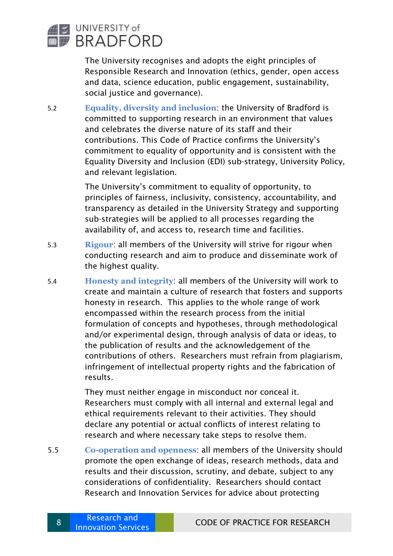

The University recognises and adopts the eight principles of Responsible Research and Innovation (ethics, gender, open access and data, science education, public engagement, sustainability, social justice and governance).

<span id="page-7-0"></span>5.2 **Equality, diversity and inclusion**: the University of Bradford is committed to supporting research in an environment that values and celebrates the diverse nature of its staff and their contributions. This Code of Practice confirms the University's commitment to equality of opportunity and is consistent with the Equality Diversity and Inclusion (EDI) sub-strategy, University Policy, and relevant legislation.

> The University's commitment to equality of opportunity, to principles of fairness, inclusivity, consistency, accountability, and transparency as detailed in the University Strategy and supporting sub-strategies will be applied to all processes regarding the availability of, and access to, research time and facilities.

- <span id="page-7-1"></span>5.3 **Rigour**: all members of the University will strive for rigour when conducting research and aim to produce and disseminate work of the highest quality.
- <span id="page-7-2"></span>5.4 **Honesty and integrity**: all members of the University will work to create and maintain a culture of research that fosters and supports honesty in research. This applies to the whole range of work encompassed within the research process from the initial formulation of concepts and hypotheses, through methodological and/or experimental design, through analysis of data or ideas, to the publication of results and the acknowledgement of the contributions of others. Researchers must refrain from plagiarism, infringement of intellectual property rights and the fabrication of results.

They must neither engage in misconduct nor conceal it. Researchers must comply with all internal and external legal and ethical requirements relevant to their activities. They should declare any potential or actual conflicts of interest relating to research and where necessary take steps to resolve them.

<span id="page-7-3"></span>5.5 **Co-operation and openness**: all members of the University should promote the open exchange of ideas, research methods, data and results and their discussion, scrutiny, and debate, subject to any considerations of confidentiality. Researchers should contact [Research and Innovation Services](https://unibradfordac.sharepoint.com/sites/research-and-knowledge-transfer-support-intranet/SitePages/Enterprise-and-Commercialisation.aspx) for advice about protecting

8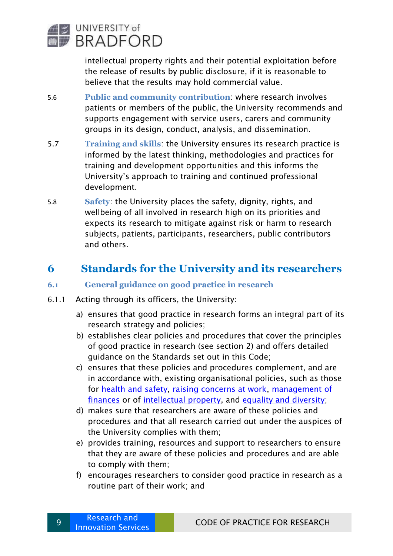

intellectual property rights and their potential exploitation before the release of results by public disclosure, if it is reasonable to believe that the results may hold commercial value.

- <span id="page-8-0"></span>5.6 **Public and community contribution**: where research involves patients or members of the public, the University recommends and supports engagement with service users, carers and community groups in its design, conduct, analysis, and dissemination.
- <span id="page-8-1"></span>5.7 **Training and skills**: the University ensures its research practice is informed by the latest thinking, methodologies and practices for training and development opportunities and this informs the University's approach to training and continued professional development.
- <span id="page-8-2"></span>5.8 **Safety**: the University places the safety, dignity, rights, and wellbeing of all involved in research high on its priorities and expects its research to mitigate against risk or harm to research subjects, patients, participants, researchers, public contributors and others.

## <span id="page-8-3"></span>**6 Standards for the University and its researchers**

- <span id="page-8-4"></span>**6.1 General guidance on good practice in research**
- 6.1.1 Acting through its officers, the University:
	- a) ensures that good practice in research forms an integral part of its research strategy and policies;
	- b) establishes clear policies and procedures that cover the principles of good practice in research (see section 2) and offers detailed guidance on the Standards set out in this Code;
	- c) ensures that these policies and procedures complement, and are in accordance with, existing organisational policies, such as those for [health and safety,](https://unibradfordac.sharepoint.com/sites/health-safety-and-wellbeing-intranet/SitePages/Welcome-to-Health,-Safety-and-Wellbeing.aspx?web=1) [raising concerns at work,](https://www.bradford.ac.uk/governance/policies-and-statements/whisteblowing-public-interest-disclosure-code-of-practice) [management of](https://unibradfordac.sharepoint.com/sites/finance-intranet/SitePages/regulations-policies-procedures-guidelines.aspx)  [finances](https://unibradfordac.sharepoint.com/sites/finance-intranet/SitePages/regulations-policies-procedures-guidelines.aspx) or of [intellectual property,](https://unibradfordac.sharepoint.com/sites/research-and-knowledge-transfer-support-intranet/_layouts/15/search.aspx/siteall?q=intellectual%20property) and [equality and diversity;](https://www.brad.ac.uk/equality-and-diversity/equality-policies/)
	- d) makes sure that researchers are aware of these policies and procedures and that all research carried out under the auspices of the University complies with them;
	- e) provides training, resources and support to researchers to ensure that they are aware of these policies and procedures and are able to comply with them;
	- f) encourages researchers to consider good practice in research as a routine part of their work; and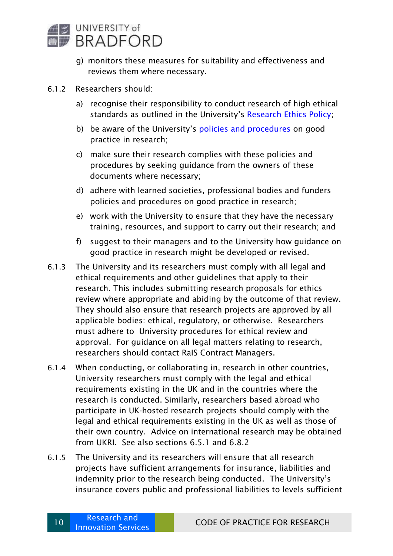

- g) monitors these measures for suitability and effectiveness and reviews them where necessary.
- 6.1.2 Researchers should:
	- a) recognise their responsibility to conduct research of high ethical standards as outlined in the University's [Research Ethics Policy;](https://unibradfordac.sharepoint.com/sites/research-and-knowledge-transfer-support-intranet/SitePages/Ethics-University-Policy-%26-Procedure.aspx?web=1https://www.bradford.ac.uk/rkts/research-support/ethics/)
	- b) be aware of the University's [policies and procedures](https://www.bradford.ac.uk/governance/policies-and-statements/) on good practice in research;
	- c) make sure their research complies with these policies and procedures by seeking guidance from the owners of these documents where necessary;
	- d) adhere with learned societies, professional bodies and funders policies and procedures on good practice in research;
	- e) work with the University to ensure that they have the necessary training, resources, and support to carry out their research; and
	- f) suggest to their managers and to the University how guidance on good practice in research might be developed or revised.
- 6.1.3 The University and its researchers must comply with all legal and ethical requirements and other guidelines that apply to their research. This includes submitting research proposals for ethics review where appropriate and abiding by the outcome of that review. They should also ensure that research projects are approved by all applicable bodies: ethical, regulatory, or otherwise. Researchers must adhere to [University procedures for ethical review and](https://unibradfordac.sharepoint.com/sites/research-and-knowledge-transfer-support-intranet/SitePages/Homepage-Ethics.aspx?web=1)  [approval.](https://unibradfordac.sharepoint.com/sites/research-and-knowledge-transfer-support-intranet/SitePages/Homepage-Ethics.aspx?web=1) For guidance on all legal matters relating to research, researchers should contact [RaIS Contract Managers.](https://unibradfordac.sharepoint.com/sites/research-and-knowledge-transfer-support-intranet/SitePages/Contracts-and-Agreements.aspx)
- 6.1.4 When conducting, or collaborating in, research in other countries, University researchers must comply with the legal and ethical requirements existing in the UK and in the countries where the research is conducted. Similarly, researchers based abroad who participate in UK-hosted research projects should comply with the legal and ethical requirements existing in the UK as well as those of their own country. Advice on international research may be obtained from [UKRI.](https://www.ukri.org/research/international/international-collaboration/) See also sections 6.5.1 and 6.8.2
- 6.1.5 The University and its researchers will ensure that all research projects have sufficient arrangements for insurance, liabilities and indemnity prior to the research being conducted. The University's insurance covers public and professional liabilities to levels sufficient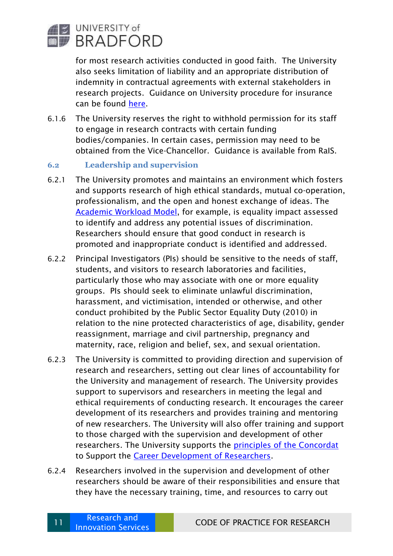

for most research activities conducted in good faith. The University also seeks limitation of liability and an appropriate distribution of indemnity in contractual agreements with external stakeholders in research projects. Guidance on University procedure for insurance can be found [here.](https://www.bradford.ac.uk/finance/finance-teams-contacts-and-services/insurance/)

6.1.6 The University reserves the right to withhold permission for its staff to engage in research contracts with certain funding bodies/companies. In certain cases, permission may need to be obtained from the Vice-Chancellor. Guidance is available from [RaIS.](https://unibradfordac.sharepoint.com/sites/research-and-knowledge-transfer-support-intranet/SitePages/Business.aspx?web=1)

#### <span id="page-10-0"></span>**6.2 Leadership and supervision**

- 6.2.1 The University promotes and maintains an environment which fosters and supports research of high ethical standards, mutual co-operation, professionalism, and the open and honest exchange of ideas. The [Academic Workload Model,](https://unibradfordac.sharepoint.com/sites/human-resources-intranet/SitePages/Academic-WorkLoadPlan.aspx) for example, is equality impact assessed to identify and address any potential issues of discrimination. Researchers should ensure that good conduct in research is promoted and inappropriate conduct is identified and addressed.
- 6.2.2 Principal Investigators (PIs) should be sensitive to the needs of staff, students, and visitors to research laboratories and facilities, particularly those who may associate with one or more equality groups. PIs should seek to eliminate unlawful discrimination, harassment, and victimisation, intended or otherwise, and other conduct prohibited by the Public Sector Equality Duty (2010) in relation to the nine protected characteristics of age, disability, gender reassignment, marriage and civil partnership, pregnancy and maternity, race, religion and belief, sex, and sexual orientation.
- 6.2.3 The University is committed to providing direction and supervision of research and researchers, setting out clear lines of accountability for the University and management of research. The University provides support to supervisors and researchers in meeting the legal and ethical requirements of conducting research. It encourages the career development of its researchers and provides training and mentoring of new researchers. The University will also offer training and support to those charged with the supervision and development of other researchers. The University supports the principles of [the Concordat](https://www.bradford.ac.uk/research/research-integrity/) to Support the [Career Development of Researchers.](https://www.bradford.ac.uk/research/research-support/)
- 6.2.4 Researchers involved in the supervision and development of other researchers should be aware of their responsibilities and ensure that they have the necessary training, time, and resources to carry out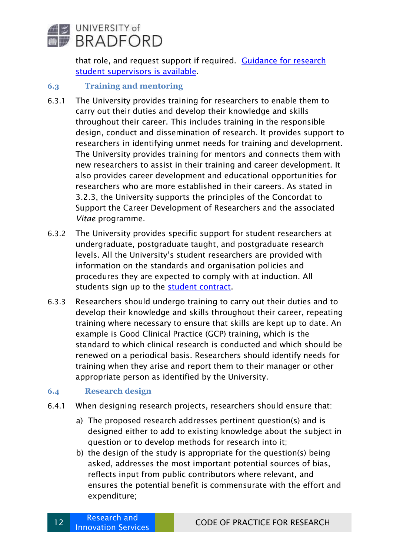

that role, and request support if required. Guidance for research [student supervisors](https://unibradfordac.sharepoint.com/sites/research-students-intranet/SitePages/Students-and-supervisors.aspx) is available.

#### <span id="page-11-0"></span>**6.3 Training and mentoring**

- 6.3.1 The University provides training for researchers to enable them to carry out their duties and develop their knowledge and skills throughout their career. This includes training in the responsible design, conduct and dissemination of research. It provides support to researchers in identifying unmet needs for training and development. The University provides training for mentors and connects them with new researchers to assist in their training and career development. It also provides career development and educational opportunities for researchers who are more established in their careers. As stated in 3.2.3, the University supports the principles of the Concordat to Support the Career Development of Researchers and the associated *Vitae* programme.
- 6.3.2 The University provides specific support for student researchers at undergraduate, postgraduate taught, and postgraduate research levels. All the University's student researchers are provided with information on the standards and organisation policies and procedures they are expected to comply with at induction. All students sign up to the [student contract.](https://www.bradford.ac.uk/student-contract/)
- 6.3.3 Researchers should undergo training to carry out their duties and to develop their knowledge and skills throughout their career, repeating training where necessary to ensure that skills are kept up to date. An example is Good Clinical Practice (GCP) training, which is the standard to which clinical research is conducted and which should be renewed on a periodical basis. Researchers should identify needs for training when they arise and report them to their manager or other appropriate person as identified by the University.

#### <span id="page-11-1"></span>**6.4 Research design**

- 6.4.1 When designing research projects, researchers should ensure that:
	- a) The proposed research addresses pertinent question(s) and is designed either to add to existing knowledge about the subject in question or to develop methods for research into it;
	- b) the design of the study is appropriate for the question(s) being asked, addresses the most important potential sources of bias, reflects input from public contributors where relevant, and ensures the potential benefit is commensurate with the effort and expenditure;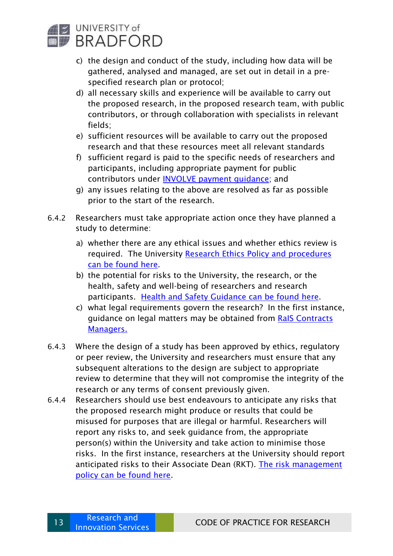

- c) the design and conduct of the study, including how data will be gathered, analysed and managed, are set out in detail in a prespecified research plan or protocol;
- d) all necessary skills and experience will be available to carry out the proposed research, in the proposed research team, with public contributors, or through collaboration with specialists in relevant fields;
- e) sufficient resources will be available to carry out the proposed research and that these resources meet all relevant standards
- f) sufficient regard is paid to the specific needs of researchers and participants, including appropriate payment for public contributors under [INVOLVE payment guidance;](https://www.nihr.ac.uk/documents/reward-and-recognition-for-public-contributors-a-guide-to-the-payment-of-fees-and-expenses/12248) and
- g) any issues relating to the above are resolved as far as possible prior to the start of the research.
- 6.4.2 Researchers must take appropriate action once they have planned a study to determine:
	- a) whether there are any ethical issues and whether ethics review is required. The University Research Ethics Policy and procedures [can be found here.](https://unibradfordac.sharepoint.com/sites/research-and-knowledge-transfer-support-intranet/SitePages/Ethics-University-Policy-%26-Procedure.aspx?web=1https://www.bradford.ac.uk/rkts/research-support/ethics/)
	- b) the potential for risks to the University, the research, or the health, safety and well-being of researchers and research participants. [Health and Safety Guidance](https://bradford.service-now.com/hsw/search_results.do?sysparm_search=risk+assessment) can be found here.
	- c) what legal requirements govern the research? In the first instance, guidance on legal matters may be obtained from RaIS Contracts [Managers.](https://unibradfordac.sharepoint.com/sites/research-and-knowledge-transfer-support-intranet/SitePages/Contracts-and-Agreements.aspx)
- 6.4.3 Where the design of a study has been approved by ethics, regulatory or peer review, the University and researchers must ensure that any subsequent alterations to the design are subject to appropriate review to determine that they will not compromise the integrity of the research or any terms of consent previously given.
- 6.4.4 Researchers should use best endeavours to anticipate any risks that the proposed research might produce or results that could be misused for purposes that are illegal or harmful. Researchers will report any risks to, and seek guidance from, the appropriate person(s) within the University and take action to minimise those risks. In the first instance, researchers at the University should report anticipated risks to their Associate Dean (RKT). [The risk management](https://www.bradford.ac.uk/governance/policies-and-statements/)  [policy](https://www.bradford.ac.uk/governance/policies-and-statements/) can be found here.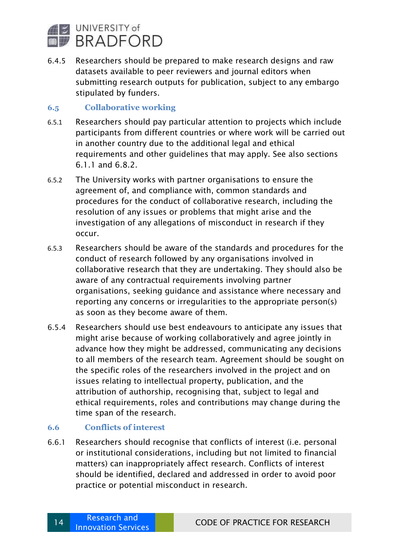

6.4.5 Researchers should be prepared to make research designs and raw datasets available to peer reviewers and journal editors when submitting research outputs for publication, subject to any embargo stipulated by funders.

#### <span id="page-13-0"></span>**6.5 Collaborative working**

- 6.5.1 Researchers should pay particular attention to projects which include participants from different countries or where work will be carried out in another country due to the additional legal and ethical requirements and other guidelines that may apply. See also sections 6.1.1 and 6.8.2.
- 6.5.2 The University works with partner organisations to ensure the agreement of, and compliance with, common standards and procedures for the conduct of collaborative research, including the resolution of any issues or problems that might arise and the investigation of any allegations of misconduct in research if they occur.
- 6.5.3 Researchers should be aware of the standards and procedures for the conduct of research followed by any organisations involved in collaborative research that they are undertaking. They should also be aware of any contractual requirements involving partner organisations, seeking guidance and assistance where necessary and reporting any concerns or irregularities to the appropriate person(s) as soon as they become aware of them.
- 6.5.4 Researchers should use best endeavours to anticipate any issues that might arise because of working collaboratively and agree jointly in advance how they might be addressed, communicating any decisions to all members of the research team. Agreement should be sought on the specific roles of the researchers involved in the project and on issues relating to intellectual property, publication, and the attribution of authorship, recognising that, subject to legal and ethical requirements, roles and contributions may change during the time span of the research.

#### <span id="page-13-1"></span>**6.6 Conflicts of interest**

6.6.1 Researchers should recognise that conflicts of interest (i.e. personal or institutional considerations, including but not limited to financial matters) can inappropriately affect research. Conflicts of interest should be identified, declared and addressed in order to avoid poor practice or potential misconduct in research.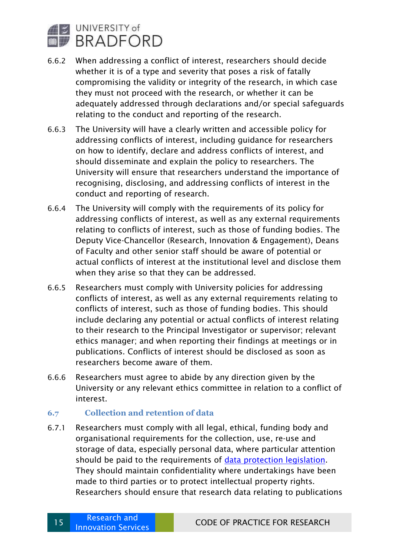

- 6.6.2 When addressing a conflict of interest, researchers should decide whether it is of a type and severity that poses a risk of fatally compromising the validity or integrity of the research, in which case they must not proceed with the research, or whether it can be adequately addressed through declarations and/or special safeguards relating to the conduct and reporting of the research.
- 6.6.3 The University will have a clearly written and accessible policy for addressing conflicts of interest, including guidance for researchers on how to identify, declare and address conflicts of interest, and should disseminate and explain the policy to researchers. The University will ensure that researchers understand the importance of recognising, disclosing, and addressing conflicts of interest in the conduct and reporting of research.
- 6.6.4 The University will comply with the requirements of its policy for addressing conflicts of interest, as well as any external requirements relating to conflicts of interest, such as those of funding bodies. The Deputy Vice-Chancellor (Research, Innovation & Engagement), Deans of Faculty and other senior staff should be aware of potential or actual conflicts of interest at the institutional level and disclose them when they arise so that they can be addressed.
- 6.6.5 Researchers must comply with University policies for addressing conflicts of interest, as well as any external requirements relating to conflicts of interest, such as those of funding bodies. This should include declaring any potential or actual conflicts of interest relating to their research to the Principal Investigator or supervisor; relevant ethics manager; and when reporting their findings at meetings or in publications. Conflicts of interest should be disclosed as soon as researchers become aware of them.
- 6.6.6 Researchers must agree to abide by any direction given by the University or any relevant ethics committee in relation to a conflict of interest.

#### <span id="page-14-0"></span>**6.7 Collection and retention of data**

6.7.1 Researchers must comply with all legal, ethical, funding body and organisational requirements for the collection, use, re-use and storage of data, especially personal data, where particular attention should be paid to the requirements of [data protection legislation.](https://www.gov.uk/data-protection) They should maintain confidentiality where undertakings have been made to third parties or to protect intellectual property rights. Researchers should ensure that research data relating to publications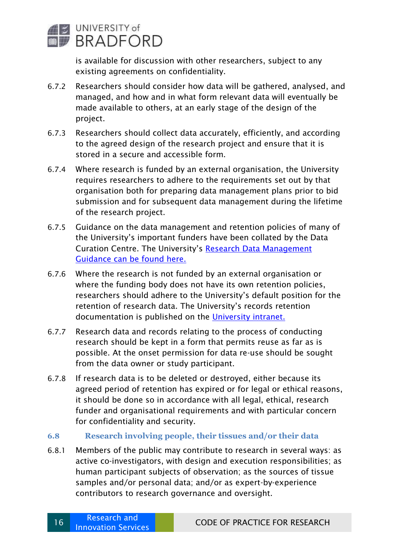

is available for discussion with other researchers, subject to any existing agreements on confidentiality.

- 6.7.2 Researchers should consider how data will be gathered, analysed, and managed, and how and in what form relevant data will eventually be made available to others, at an early stage of the design of the project.
- 6.7.3 Researchers should collect data accurately, efficiently, and according to the agreed design of the research project and ensure that it is stored in a secure and accessible form.
- 6.7.4 Where research is funded by an external organisation, the University requires researchers to adhere to the requirements set out by that organisation both for preparing data management plans prior to bid submission and for subsequent data management during the lifetime of the research project.
- 6.7.5 Guidance on the data management and retention policies of many of the University's important funders have been collated by the Data Curation Centre. The University's [Research Data](https://unibradfordac.sharepoint.com/sites/research-and-knowledge-transfer-support-intranet/SitePages/Research-Data-Management.aspx) Management [Guidance can be found here.](https://unibradfordac.sharepoint.com/sites/research-and-knowledge-transfer-support-intranet/SitePages/Research-Data-Management.aspx)
- 6.7.6 Where the research is not funded by an external organisation or where the funding body does not have its own retention policies, researchers should adhere to the University's default position for the retention of research data. The University's records retention documentation is published on the [University intranet.](https://unibradfordac.sharepoint.com/sites/information-governance-intranet/SitePages/Records-Management.aspx)
- 6.7.7 Research data and records relating to the process of conducting research should be kept in a form that permits reuse as far as is possible. At the onset permission for data re-use should be sought from the data owner or study participant.
- 6.7.8 If research data is to be deleted or destroyed, either because its agreed period of retention has expired or for legal or ethical reasons, it should be done so in accordance with all legal, ethical, research funder and organisational requirements and with particular concern for confidentiality and security.

#### <span id="page-15-0"></span>**6.8 Research involving people, their tissues and/or their data**

6.8.1 Members of the public may contribute to research in several ways: as active co-investigators, with design and execution responsibilities; as human participant subjects of observation; as the sources of tissue samples and/or personal data; and/or as expert-by-experience contributors to research governance and oversight.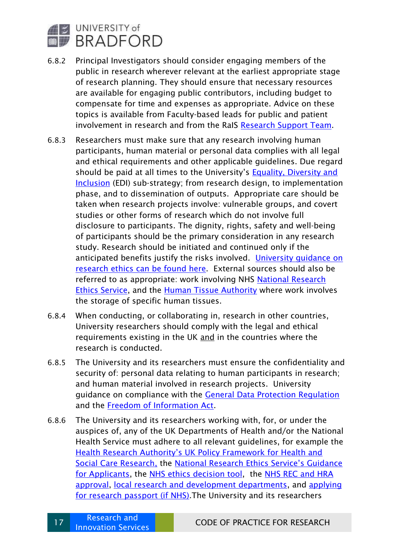

- 6.8.2 Principal Investigators should consider engaging members of the public in research wherever relevant at the earliest appropriate stage of research planning. They should ensure that necessary resources are available for engaging public contributors, including budget to compensate for time and expenses as appropriate. Advice on these topics is available from Faculty-based leads for public and patient involvement in research and from the RaIS [Research Support Team.](https://unibradfordac.sharepoint.com/sites/research-and-knowledge-transfer-support-intranet/SitePages/Meet-the-Research-Innovation-Team.aspx?web=1)
- 6.8.3 Researchers must make sure that any research involving human participants, human material or personal data complies with all legal and ethical requirements and other applicable guidelines. Due regard should be paid at all times to the University's [Equality, Diversity and](https://unibradfordac.sharepoint.com/sites/planning-intranet/SitePages/University-Strategies.aspx)  [Inclusion](https://unibradfordac.sharepoint.com/sites/planning-intranet/SitePages/University-Strategies.aspx) (EDI) sub-strategy; from research design, to implementation phase, and to dissemination of outputs. Appropriate care should be taken when research projects involve: vulnerable groups, and covert studies or other forms of research which do not involve full disclosure to participants. The dignity, rights, safety and well-being of participants should be the primary consideration in any research study. Research should be initiated and continued only if the anticipated benefits justify the risks involved. [University guidance on](https://unibradfordac.sharepoint.com/sites/research-and-knowledge-transfer-support-intranet/SitePages/Homepage-Ethics.aspx?web=1)  [research ethics](https://unibradfordac.sharepoint.com/sites/research-and-knowledge-transfer-support-intranet/SitePages/Homepage-Ethics.aspx?web=1) can be found here. External sources should also be referred to as appropriate: work involving NHS National Research [Ethics Service,](https://www.hra.nhs.uk/about-us/committees-and-services/res-and-recs/) and the [Human Tissue Authority](https://www.hta.gov.uk/) where work involves the storage of specific human tissues.
- 6.8.4 When conducting, or collaborating in, research in other countries, University researchers should comply with the legal and ethical requirements existing in the UK and in the countries where the research is conducted.
- 6.8.5 The University and its researchers must ensure the confidentiality and security of: personal data relating to human participants in research; and human material involved in research projects. University guidance on compliance with the General [Data Protection Regulation](https://www.bradford.ac.uk/data-protection/) and the [Freedom of Information Act.](https://www.bradford.ac.uk/freedom-of-information/)
- 6.8.6 The University and its researchers working with, for, or under the auspices of, any of the UK Departments of Health and/or the National Health Service must adhere to all relevant guidelines, for example the Health Research A[uthority's UK Policy Framework for Health and](https://www.hra.nhs.uk/planning-and-improving-research/policies-standards-legislation/uk-policy-framework-health-social-care-research/)  [Social Care Research,](https://www.hra.nhs.uk/planning-and-improving-research/policies-standards-legislation/uk-policy-framework-health-social-care-research/) the [National Research Ethics Service's Guidance](https://www.hra.nhs.uk/about-us/committees-and-services/res-and-recs/research-ethics-service/)  [for Applicants,](https://www.hra.nhs.uk/about-us/committees-and-services/res-and-recs/research-ethics-service/) the [NHS ethics decision tool,](http://www.hra-decisiontools.org.uk/ethics/) the [NHS REC and HRA](https://www.hra.nhs.uk/)  [approval,](https://www.hra.nhs.uk/) [local research and development departments,](http://www.westyorksrd.nhs.uk/) and [applying](https://www.nihr.ac.uk/about-us/CCF/policy-and-standards/research-passports.htm)  [for research passport \(if NHS\).](https://www.nihr.ac.uk/about-us/CCF/policy-and-standards/research-passports.htm)The University and its researchers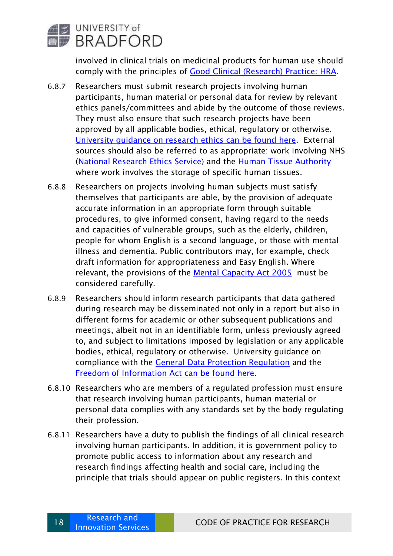

involved in clinical trials on medicinal products for human use should comply with the principles of [Good Clinical \(Research\) Practice: HRA.](https://www.hra.nhs.uk/planning-and-improving-research/policies-standards-legislation/good-clinical-practice/)

- 6.8.7 Researchers must submit research projects involving human participants, human material or personal data for review by relevant ethics panels/committees and abide by the outcome of those reviews. They must also ensure that such research projects have been approved by all applicable bodies, ethical, regulatory or otherwise. [University guidance on research ethics](https://unibradfordac.sharepoint.com/sites/research-and-knowledge-transfer-support-intranet/SitePages/Homepage-Ethics.aspx?web=1) can be found here. External sources should also be referred to as appropriate: work involving NHS [\(National Research Ethics Service\)](https://www.hra.nhs.uk/about-us/committees-and-services/res-and-recs/) and the [Human Tissue Authority](https://www.hta.gov.uk/) where work involves the storage of specific human tissues.
- 6.8.8 Researchers on projects involving human subjects must satisfy themselves that participants are able, by the provision of adequate accurate information in an appropriate form through suitable procedures, to give informed consent, having regard to the needs and capacities of vulnerable groups, such as the elderly, children, people for whom English is a second language, or those with mental illness and dementia. Public contributors may, for example, check draft information for appropriateness and Easy English. Where relevant, the provisions of the [Mental Capacity Act 2005](https://www.legislation.gov.uk/ukpga/2005/9/pdfs/ukpga_20050009_en.pdf) must be considered carefully.
- 6.8.9 Researchers should inform research participants that data gathered during research may be disseminated not only in a report but also in different forms for academic or other subsequent publications and meetings, albeit not in an identifiable form, unless previously agreed to, and subject to limitations imposed by legislation or any applicable bodies, ethical, regulatory or otherwise. University guidance on compliance with the [General Data Protection Regulation](https://www.bradford.ac.uk/data-protection/) and the [Freedom of Information Act](https://www.bradford.ac.uk/freedom-of-information/) can be found here.
- 6.8.10 Researchers who are members of a regulated profession must ensure that research involving human participants, human material or personal data complies with any standards set by the body regulating their profession.
- 6.8.11 Researchers have a duty to publish the findings of all clinical research involving human participants. In addition, it is government policy to promote public access to information about any research and research findings affecting health and social care, including the principle that trials should appear on public registers. In this context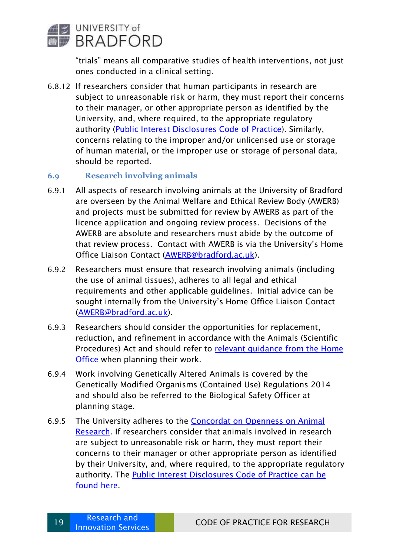

"trials" means all comparative studies of health interventions, not just ones conducted in a clinical setting.

6.8.12 If researchers consider that human participants in research are subject to unreasonable risk or harm, they must report their concerns to their manager, or other appropriate person as identified by the University, and, where required, to the appropriate regulatory authority [\(Public Interest Disclosures Code of Practice\)](https://www.bradford.ac.uk/governance/policies-and-statements/whisteblowing-public-interest-disclosure-code-of-practice/). Similarly, concerns relating to the improper and/or unlicensed use or storage of human material, or the improper use or storage of personal data, should be reported.

#### <span id="page-18-0"></span>**6.9 Research involving animals**

- 6.9.1 All aspects of research involving animals at the University of Bradford are overseen by the Animal Welfare and Ethical Review Body (AWERB) and projects must be submitted for review by AWERB as part of the licence application and ongoing review process. Decisions of the AWERB are absolute and researchers must abide by the outcome of that review process. Contact with AWERB is via the University's Home Office Liaison Contact [\(AWERB@bradford.ac.uk\)](mailto:AWERB@bradford.ac.uk).
- 6.9.2 Researchers must ensure that research involving animals (including the use of animal tissues), adheres to all legal and ethical requirements and other applicable guidelines. Initial advice can be sought internally from the University's Home Office Liaison Contact [\(AWERB@bradford.ac.uk\)](mailto:AWERB@bradford.ac.uk).
- 6.9.3 Researchers should consider the opportunities for replacement, reduction, and refinement in accordance with the Animals (Scientific Procedures) Act and should refer to [relevant guidance from the Home](https://www.gov.uk/guidance/research-and-testing-using-animals)  [Office](https://www.gov.uk/guidance/research-and-testing-using-animals) when planning their work.
- 6.9.4 Work involving Genetically Altered Animals is covered by the Genetically Modified Organisms (Contained Use) Regulations 2014 and should also be referred to the Biological Safety Officer at planning stage.
- 6.9.5 The University adheres to the [Concordat on Openness on Animal](http://concordatopenness.org.uk/)  [Research.](http://concordatopenness.org.uk/) If researchers consider that animals involved in research are subject to unreasonable risk or harm, they must report their concerns to their manager or other appropriate person as identified by their University, and, where required, to the appropriate regulatory authority. The [Public Interest Disclosures Code of Practice](https://www.bradford.ac.uk/governance/policies-and-statements/whisteblowing-public-interest-disclosure-code-of-practice/) can be found here.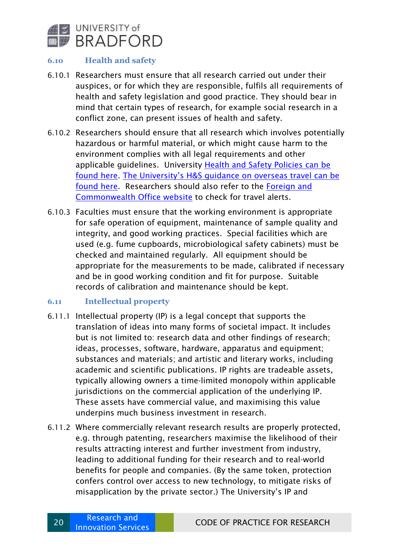

#### <span id="page-19-0"></span>**6.10 Health and safety**

- 6.10.1 Researchers must ensure that all research carried out under their auspices, or for which they are responsible, fulfils all requirements of health and safety legislation and good practice. They should bear in mind that certain types of research, for example social research in a conflict zone, can present issues of health and safety.
- 6.10.2 Researchers should ensure that all research which involves potentially hazardous or harmful material, or which might cause harm to the environment complies with all legal requirements and other applicable guidelines. University [Health and Safety Policies can be](https://bradford.service-now.com/hsw/search_results.do?sysparm_search=health+and+safety+policy)  [found here.](https://bradford.service-now.com/hsw/search_results.do?sysparm_search=health+and+safety+policy) [The University's H&S guidance on overseas travel](https://bradford.service-now.com/hsw/search_results.do?sysparm_search=overseas+travel+procedures) can be found here. Researchers should also refer to the [Foreign and](https://www.gov.uk/foreign-travel-advice)  [Commonwealth Office website](https://www.gov.uk/foreign-travel-advice) to check for travel alerts.
- 6.10.3 Faculties must ensure that the working environment is appropriate for safe operation of equipment, maintenance of sample quality and integrity, and good working practices. Special facilities which are used (e.g. fume cupboards, microbiological safety cabinets) must be checked and maintained regularly. All equipment should be appropriate for the measurements to be made, calibrated if necessary and be in good working condition and fit for purpose. Suitable records of calibration and maintenance should be kept.

#### <span id="page-19-1"></span>**6.11 Intellectual property**

- 6.11.1 Intellectual property (IP) is a legal concept that supports the translation of ideas into many forms of societal impact. It includes but is not limited to: research data and other findings of research; ideas, processes, software, hardware, apparatus and equipment; substances and materials; and artistic and literary works, including academic and scientific publications. IP rights are tradeable assets, typically allowing owners a time-limited monopoly within applicable jurisdictions on the commercial application of the underlying IP. These assets have commercial value, and maximising this value underpins much business investment in research.
- 6.11.2 Where commercially relevant research results are properly protected, e.g. through patenting, researchers maximise the likelihood of their results attracting interest and further investment from industry, leading to additional funding for their research and to real-world benefits for people and companies. (By the same token, protection confers control over access to new technology, to mitigate risks of misapplication by the private sector.) The University's IP and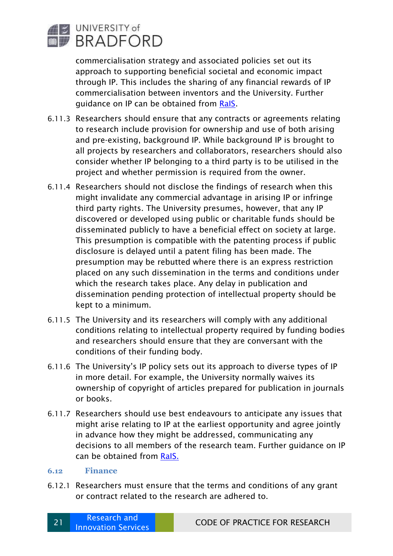

commercialisation strategy and associated policies set out its approach to supporting beneficial societal and economic impact through IP. This includes the sharing of any financial rewards of IP commercialisation between inventors and the University. Further guidance on IP can be obtained from [RaIS.](https://unibradfordac.sharepoint.com/sites/research-and-knowledge-transfer-support-intranet/SitePages/Enterprise-and-Commercialisation.aspx)

- 6.11.3 Researchers should ensure that any contracts or agreements relating to research include provision for ownership and use of both arising and pre-existing, background IP. While background IP is brought to all projects by researchers and collaborators, researchers should also consider whether IP belonging to a third party is to be utilised in the project and whether permission is required from the owner.
- 6.11.4 Researchers should not disclose the findings of research when this might invalidate any commercial advantage in arising IP or infringe third party rights. The University presumes, however, that any IP discovered or developed using public or charitable funds should be disseminated publicly to have a beneficial effect on society at large. This presumption is compatible with the patenting process if public disclosure is delayed until a patent filing has been made. The presumption may be rebutted where there is an express restriction placed on any such dissemination in the terms and conditions under which the research takes place. Any delay in publication and dissemination pending protection of intellectual property should be kept to a minimum.
- 6.11.5 The University and its researchers will comply with any additional conditions relating to intellectual property required by funding bodies and researchers should ensure that they are conversant with the conditions of their funding body.
- 6.11.6 The University's IP policy sets out its approach to diverse types of IP in more detail. For example, the University normally waives its ownership of copyright of articles prepared for publication in journals or books.
- 6.11.7 Researchers should use best endeavours to anticipate any issues that might arise relating to IP at the earliest opportunity and agree jointly in advance how they might be addressed, communicating any decisions to all members of the research team. Further guidance on IP can be obtained from [RaIS.](https://unibradfordac.sharepoint.com/sites/research-and-knowledge-transfer-support-intranet/SitePages/Enterprise-and-Commercialisation.aspx)

#### <span id="page-20-0"></span>**6.12 Finance**

6.12.1 Researchers must ensure that the terms and conditions of any grant or contract related to the research are adhered to.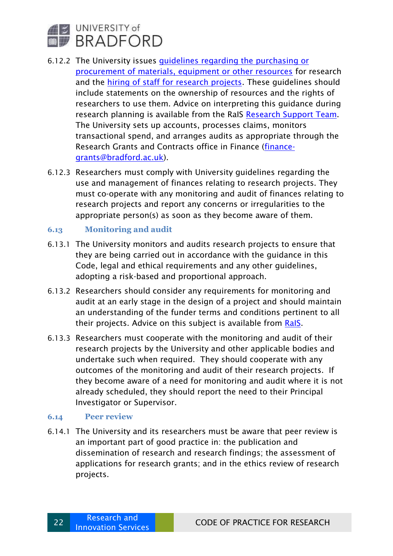

- 6.12.2 The University issues *quidelines regarding the purchasing or* [procurement of materials, equipment or other resources](https://www.bradford.ac.uk/purchasing/internal/policies-procedures-and-processes/) for research and the [hiring of staff for research projects.](https://unibradfordac.sharepoint.com/sites/research-and-knowledge-transfer-support-intranet/SitePages/Successful-Projects.aspx) These guidelines should include statements on the ownership of resources and the rights of researchers to use them. Advice on interpreting this guidance during research planning is available from the RaIS [Research Support Team.](https://unibradfordac.sharepoint.com/sites/research-and-knowledge-transfer-support-intranet/SitePages/Meet-the-Research-Innovation-Team.aspx?web=1) The University sets up accounts, processes claims, monitors transactional spend, and arranges audits as appropriate through the Research Grants and Contracts office in Finance [\(finance](mailto:finance-grants@bradford.ac.uk)[grants@bradford.ac.uk\)](mailto:finance-grants@bradford.ac.uk).
- 6.12.3 Researchers must comply with University guidelines regarding the use and management of finances relating to research projects. They must co-operate with any monitoring and audit of finances relating to research projects and report any concerns or irregularities to the appropriate person(s) as soon as they become aware of them.

#### <span id="page-21-0"></span>**6.13 Monitoring and audit**

- 6.13.1 The University monitors and audits research projects to ensure that they are being carried out in accordance with the guidance in this Code, legal and ethical requirements and any other guidelines, adopting a risk-based and proportional approach.
- 6.13.2 Researchers should consider any requirements for monitoring and audit at an early stage in the design of a project and should maintain an understanding of the funder terms and conditions pertinent to all their projects. Advice on this subject is available from [RaIS.](https://unibradfordac.sharepoint.com/sites/research-and-knowledge-transfer-support-intranet/SitePages/Meet-the-Research-Innovation-Team.aspx?web=1)
- 6.13.3 Researchers must cooperate with the monitoring and audit of their research projects by the University and other applicable bodies and undertake such when required. They should cooperate with any outcomes of the monitoring and audit of their research projects. If they become aware of a need for monitoring and audit where it is not already scheduled, they should report the need to their Principal Investigator or Supervisor.

#### <span id="page-21-1"></span>**6.14 Peer review**

6.14.1 The University and its researchers must be aware that peer review is an important part of good practice in: the publication and dissemination of research and research findings; the assessment of applications for research grants; and in the ethics review of research projects.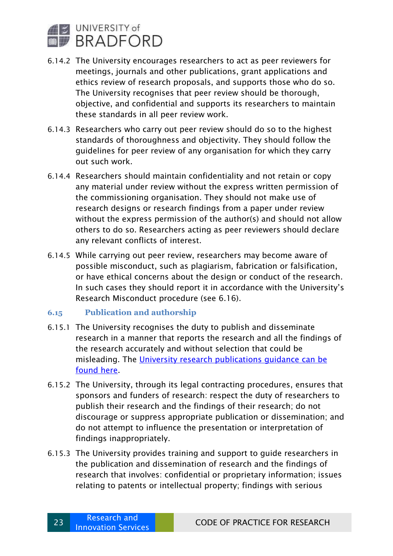

- 6.14.2 The University encourages researchers to act as peer reviewers for meetings, journals and other publications, grant applications and ethics review of research proposals, and supports those who do so. The University recognises that peer review should be thorough, objective, and confidential and supports its researchers to maintain these standards in all peer review work.
- 6.14.3 Researchers who carry out peer review should do so to the highest standards of thoroughness and objectivity. They should follow the guidelines for peer review of any organisation for which they carry out such work.
- 6.14.4 Researchers should maintain confidentiality and not retain or copy any material under review without the express written permission of the commissioning organisation. They should not make use of research designs or research findings from a paper under review without the express permission of the author(s) and should not allow others to do so. Researchers acting as peer reviewers should declare any relevant conflicts of interest.
- 6.14.5 While carrying out peer review, researchers may become aware of possible misconduct, such as plagiarism, fabrication or falsification, or have ethical concerns about the design or conduct of the research. In such cases they should report it in accordance with the University's Research Misconduct procedure (see 6.16).

#### <span id="page-22-0"></span>**6.15 Publication and authorship**

- 6.15.1 The University recognises the duty to publish and disseminate research in a manner that reports the research and all the findings of the research accurately and without selection that could be misleading. The [University research publications guidance](https://unibradfordac.sharepoint.com/:b:/r/sites/research-and-knowledge-transfer-support-intranet/SiteAssets/SitePages/Publications-and-Data/University%20of%20Bradford%20Publications%20Policy%20July%202019.pdf?csf=1&web=1&e=wb0yWW) can be found here.
- 6.15.2 The University, through its legal contracting procedures, ensures that sponsors and funders of research: respect the duty of researchers to publish their research and the findings of their research; do not discourage or suppress appropriate publication or dissemination; and do not attempt to influence the presentation or interpretation of findings inappropriately.
- 6.15.3 The University provides training and support to guide researchers in the publication and dissemination of research and the findings of research that involves: confidential or proprietary information; issues relating to patents or intellectual property; findings with serious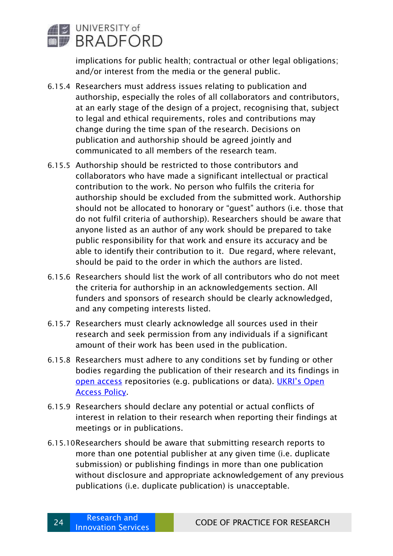

implications for public health; contractual or other legal obligations; and/or interest from the media or the general public.

- 6.15.4 Researchers must address issues relating to publication and authorship, especially the roles of all collaborators and contributors, at an early stage of the design of a project, recognising that, subject to legal and ethical requirements, roles and contributions may change during the time span of the research. Decisions on publication and authorship should be agreed jointly and communicated to all members of the research team.
- 6.15.5 Authorship should be restricted to those contributors and collaborators who have made a significant intellectual or practical contribution to the work. No person who fulfils the criteria for authorship should be excluded from the submitted work. Authorship should not be allocated to honorary or "guest" authors (i.e. those that do not fulfil criteria of authorship). Researchers should be aware that anyone listed as an author of any work should be prepared to take public responsibility for that work and ensure its accuracy and be able to identify their contribution to it. Due regard, where relevant, should be paid to the order in which the authors are listed.
- 6.15.6 Researchers should list the work of all contributors who do not meet the criteria for authorship in an acknowledgements section. All funders and sponsors of research should be clearly acknowledged, and any competing interests listed.
- 6.15.7 Researchers must clearly acknowledge all sources used in their research and seek permission from any individuals if a significant amount of their work has been used in the publication.
- 6.15.8 Researchers must adhere to any conditions set by funding or other bodies regarding the publication of their research and its findings in [open access](https://unibradfordac.sharepoint.com/sites/research-and-knowledge-transfer-support-intranet/SitePages/Publications-and-Open-Access.aspx) repositories (e.g. publications or data). UKRI['s Open](https://www.ukri.org/publications/ukri-open-access-policy/)  [Access Policy.](https://www.ukri.org/publications/ukri-open-access-policy/)
- 6.15.9 Researchers should declare any potential or actual conflicts of interest in relation to their research when reporting their findings at meetings or in publications.
- 6.15.10Researchers should be aware that submitting research reports to more than one potential publisher at any given time (i.e. duplicate submission) or publishing findings in more than one publication without disclosure and appropriate acknowledgement of any previous publications (i.e. duplicate publication) is unacceptable.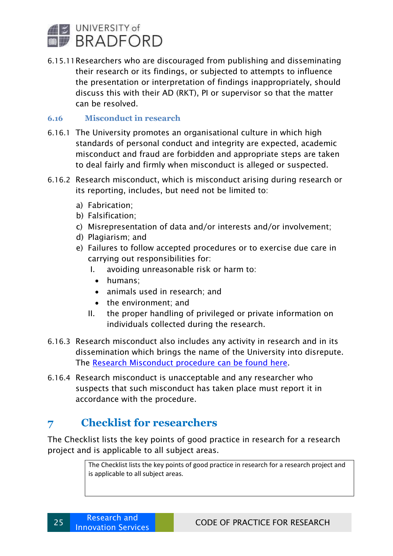

6.15.11Researchers who are discouraged from publishing and disseminating their research or its findings, or subjected to attempts to influence the presentation or interpretation of findings inappropriately, should discuss this with their AD (RKT), PI or supervisor so that the matter can be resolved.

#### <span id="page-24-0"></span>**6.16 Misconduct in research**

- 6.16.1 The University promotes an organisational culture in which high standards of personal conduct and integrity are expected, academic misconduct and fraud are forbidden and appropriate steps are taken to deal fairly and firmly when misconduct is alleged or suspected.
- 6.16.2 Research misconduct, which is misconduct arising during research or its reporting, includes, but need not be limited to:
	- a) Fabrication;
	- b) Falsification;
	- c) Misrepresentation of data and/or interests and/or involvement;
	- d) Plagiarism; and
	- e) Failures to follow accepted procedures or to exercise due care in carrying out responsibilities for:
		- I. avoiding unreasonable risk or harm to:
			- humans;
			- animals used in research; and
		- the environment; and
		- II. the proper handling of privileged or private information on individuals collected during the research.
- 6.16.3 Research misconduct also includes any activity in research and in its dissemination which brings the name of the University into disrepute. The [Research Misconduct procedure](https://unibradfordac.sharepoint.com/sites/research-and-knowledge-transfer-support-intranet/Shared%20Documents/Forms/AllItems.aspx?id=%2Fsites%2Fresearch%2Dand%2Dknowledge%2Dtransfer%2Dsupport%2Dintranet%2FShared%20Documents%2FResearch%20misconduct%20procedure%2Epdf&parent=%2Fsites%2Fresearch%2Dand%2Dknowledge%2Dtransfer%2Dsupport%2Dintranet%2FShared%20Documents) can be found here.
- 6.16.4 Research misconduct is unacceptable and any researcher who suspects that such misconduct has taken place must report it in accordance with the procedure.

## <span id="page-24-1"></span>**7 Checklist for researchers**

The Checklist lists the key points of good practice in research for a research project and is applicable to all subject areas.

> The Checklist lists the key points of good practice in research for a research project and is applicable to all subject areas.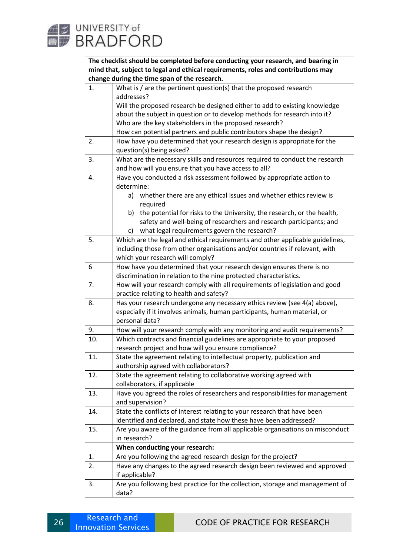

**The checklist should be completed before conducting your research, and bearing in mind that, subject to legal and ethical requirements, roles and contributions may change during the time span of the research.**

|                | change during the time span or the research.                                  |
|----------------|-------------------------------------------------------------------------------|
| $\mathbf{1}$ . | What is $/$ are the pertinent question(s) that the proposed research          |
|                | addresses?                                                                    |
|                | Will the proposed research be designed either to add to existing knowledge    |
|                | about the subject in question or to develop methods for research into it?     |
|                | Who are the key stakeholders in the proposed research?                        |
|                | How can potential partners and public contributors shape the design?          |
| 2.             | How have you determined that your research design is appropriate for the      |
|                | question(s) being asked?                                                      |
| 3.             | What are the necessary skills and resources required to conduct the research  |
|                | and how will you ensure that you have access to all?                          |
| 4.             | Have you conducted a risk assessment followed by appropriate action to        |
|                | determine:                                                                    |
|                | whether there are any ethical issues and whether ethics review is<br>a)       |
|                | required                                                                      |
|                | the potential for risks to the University, the research, or the health,<br>b) |
|                | safety and well-being of researchers and research participants; and           |
|                | what legal requirements govern the research?<br>C)                            |
| 5.             | Which are the legal and ethical requirements and other applicable guidelines, |
|                | including those from other organisations and/or countries if relevant, with   |
|                | which your research will comply?                                              |
| 6              | How have you determined that your research design ensures there is no         |
|                | discrimination in relation to the nine protected characteristics.             |
| 7.             | How will your research comply with all requirements of legislation and good   |
|                | practice relating to health and safety?                                       |
| 8.             | Has your research undergone any necessary ethics review (see 4(a) above),     |
|                | especially if it involves animals, human participants, human material, or     |
|                | personal data?                                                                |
| 9.             | How will your research comply with any monitoring and audit requirements?     |
| 10.            | Which contracts and financial guidelines are appropriate to your proposed     |
|                | research project and how will you ensure compliance?                          |
| 11.            | State the agreement relating to intellectual property, publication and        |
|                | authorship agreed with collaborators?                                         |
| 12.            | State the agreement relating to collaborative working agreed with             |
|                | collaborators, if applicable                                                  |
| 13.            | Have you agreed the roles of researchers and responsibilities for management  |
|                |                                                                               |
|                | and supervision?                                                              |
| 14.            | State the conflicts of interest relating to your research that have been      |
|                | identified and declared, and state how these have been addressed?             |
| 15.            | Are you aware of the guidance from all applicable organisations on misconduct |
|                | in research?                                                                  |
|                | When conducting your research:                                                |
| 1.             | Are you following the agreed research design for the project?                 |
| 2.             | Have any changes to the agreed research design been reviewed and approved     |
|                | if applicable?                                                                |
| 3.             | Are you following best practice for the collection, storage and management of |
|                | data?                                                                         |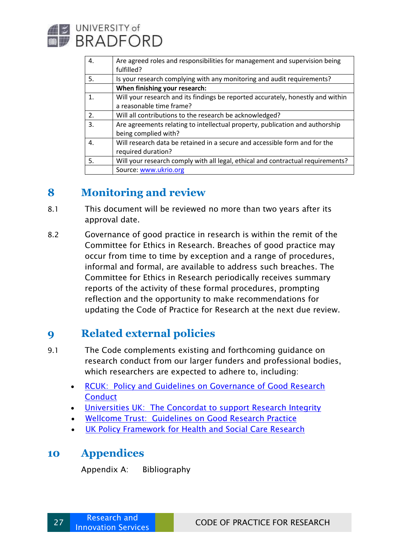

| 4.             | Are agreed roles and responsibilities for management and supervision being<br>fulfilled? |
|----------------|------------------------------------------------------------------------------------------|
| 5.             | Is your research complying with any monitoring and audit requirements?                   |
|                | When finishing your research:                                                            |
| $\mathbf{1}$ . | Will your research and its findings be reported accurately, honestly and within          |
|                | a reasonable time frame?                                                                 |
| 2.             | Will all contributions to the research be acknowledged?                                  |
| 3.             | Are agreements relating to intellectual property, publication and authorship             |
|                | being complied with?                                                                     |
| 4.             | Will research data be retained in a secure and accessible form and for the               |
|                | required duration?                                                                       |
| -5.            | Will your research comply with all legal, ethical and contractual requirements?          |
|                | Source: www.ukrio.org                                                                    |

## <span id="page-26-0"></span>**8 Monitoring and review**

- 8.1 This document will be reviewed no more than two years after its approval date.
- 8.2 Governance of good practice in research is within the remit of the Committee for Ethics in Research. Breaches of good practice may occur from time to time by exception and a range of procedures, informal and formal, are available to address such breaches. The Committee for Ethics in Research periodically receives summary reports of the activity of these formal procedures, prompting reflection and the opportunity to make recommendations for updating the Code of Practice for Research at the next due review.

## <span id="page-26-1"></span>**9 Related external policies**

- 9.1 The Code complements existing and forthcoming guidance on research conduct from our larger funders and professional bodies, which researchers are expected to adhere to, including:
	- [RCUK: Policy and Guidelines on Governance of Good Research](https://epsrc.ukri.org/about/standards/scimisconduct/ukripolicy/)  **[Conduct](https://epsrc.ukri.org/about/standards/scimisconduct/ukripolicy/)**
	- [Universities UK: The Concordat to support Research Integrity](https://www.universitiesuk.ac.uk/topics/research-and-innovation/concordat-research-integrity)
	- [Wellcome Trust: Guidelines on Good Research Practice](https://wellcome.org/grant-funding/guidance/good-research-practice-guidelines)
	- [UK Policy Framework for Health and Social Care Research](https://www.hra.nhs.uk/planning-and-improving-research/policies-standards-legislation/uk-policy-framework-health-social-care-research/)

## <span id="page-26-2"></span>**10 Appendices**

Appendix A: Bibliography